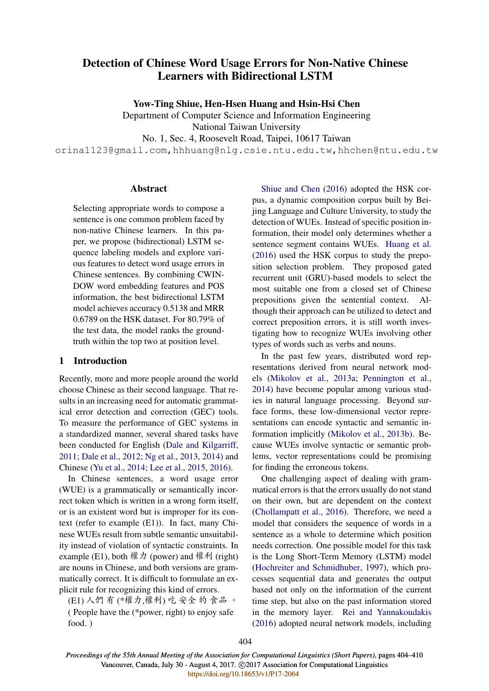# Detection of Chinese Word Usage Errors for Non-Native Chinese Learners with Bidirectional LSTM

Yow-Ting Shiue, Hen-Hsen Huang and Hsin-Hsi Chen

Department of Computer Science and Information Engineering

National Taiwan University

No. 1, Sec. 4, Roosevelt Road, Taipei, 10617 Taiwan

orina1123@gmail.com,hhhuang@nlg.csie.ntu.edu.tw,hhchen@ntu.edu.tw

# Abstract

Selecting appropriate words to compose a sentence is one common problem faced by non-native Chinese learners. In this paper, we propose (bidirectional) LSTM sequence labeling models and explore various features to detect word usage errors in Chinese sentences. By combining CWIN-DOW word embedding features and POS information, the best bidirectional LSTM model achieves accuracy 0.5138 and MRR 0.6789 on the HSK dataset. For 80.79% of the test data, the model ranks the groundtruth within the top two at position level.

#### 1 Introduction

Recently, more and more people around the world choose Chinese as their second language. That results in an increasing need for automatic grammatical error detection and correction (GEC) tools. To measure the performance of GEC systems in a standardized manner, several shared tasks have been conducted for English (Dale and Kilgarriff, 2011; Dale et al., 2012; Ng et al., 2013, 2014) and Chinese (Yu et al., 2014; Lee et al., 2015, 2016).

In Chinese sentences, a word usage error (WUE) is a grammatically or semantically incorrect token which is written in a wrong form itself, or is an existent word but is improper for its context (refer to example (E1)). In fact, many Chinese WUEs result from subtle semantic unsuitability instead of violation of syntactic constraints. In example (E1), both 權力 (power) and 權利 (right) are nouns in Chinese, and both versions are grammatically correct. It is difficult to formulate an explicit rule for recognizing this kind of errors.

(E1) 人們 有 (\*權力,權利) 吃 安全 的 食品 。 ( People have the (\*power, right) to enjoy safe food. )

Shiue and Chen (2016) adopted the HSK corpus, a dynamic composition corpus built by Beijing Language and Culture University, to study the detection of WUEs. Instead of specific position information, their model only determines whether a sentence segment contains WUEs. Huang et al. (2016) used the HSK corpus to study the preposition selection problem. They proposed gated recurrent unit (GRU)-based models to select the most suitable one from a closed set of Chinese prepositions given the sentential context. Although their approach can be utilized to detect and correct preposition errors, it is still worth investigating how to recognize WUEs involving other types of words such as verbs and nouns.

In the past few years, distributed word representations derived from neural network models (Mikolov et al., 2013a; Pennington et al., 2014) have become popular among various studies in natural language processing. Beyond surface forms, these low-dimensional vector representations can encode syntactic and semantic information implicitly (Mikolov et al., 2013b). Because WUEs involve syntactic or semantic problems, vector representations could be promising for finding the erroneous tokens.

One challenging aspect of dealing with grammatical errors is that the errors usually do not stand on their own, but are dependent on the context (Chollampatt et al., 2016). Therefore, we need a model that considers the sequence of words in a sentence as a whole to determine which position needs correction. One possible model for this task is the Long Short-Term Memory (LSTM) model (Hochreiter and Schmidhuber, 1997), which processes sequential data and generates the output based not only on the information of the current time step, but also on the past information stored in the memory layer. Rei and Yannakoudakis (2016) adopted neural network models, including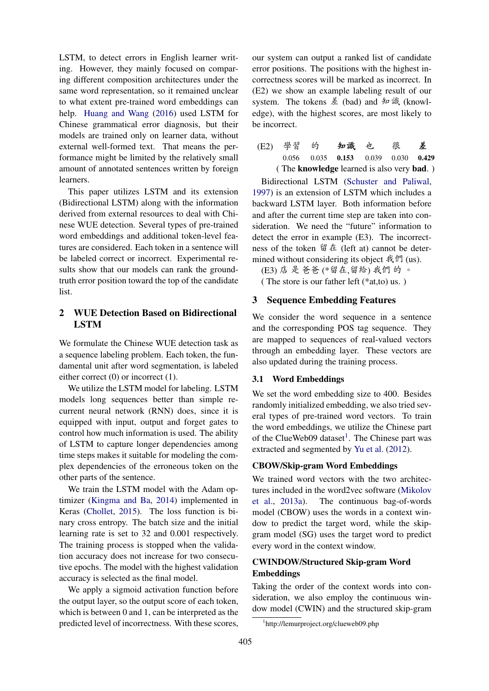LSTM, to detect errors in English learner writing. However, they mainly focused on comparing different composition architectures under the same word representation, so it remained unclear to what extent pre-trained word embeddings can help. Huang and Wang (2016) used LSTM for Chinese grammatical error diagnosis, but their models are trained only on learner data, without external well-formed text. That means the performance might be limited by the relatively small amount of annotated sentences written by foreign learners.

This paper utilizes LSTM and its extension (Bidirectional LSTM) along with the information derived from external resources to deal with Chinese WUE detection. Several types of pre-trained word embeddings and additional token-level features are considered. Each token in a sentence will be labeled correct or incorrect. Experimental results show that our models can rank the groundtruth error position toward the top of the candidate list.

# 2 WUE Detection Based on Bidirectional LSTM

We formulate the Chinese WUE detection task as a sequence labeling problem. Each token, the fundamental unit after word segmentation, is labeled either correct (0) or incorrect (1).

We utilize the LSTM model for labeling. LSTM models long sequences better than simple recurrent neural network (RNN) does, since it is equipped with input, output and forget gates to control how much information is used. The ability of LSTM to capture longer dependencies among time steps makes it suitable for modeling the complex dependencies of the erroneous token on the other parts of the sentence.

We train the LSTM model with the Adam optimizer (Kingma and Ba, 2014) implemented in Keras (Chollet, 2015). The loss function is binary cross entropy. The batch size and the initial learning rate is set to 32 and 0.001 respectively. The training process is stopped when the validation accuracy does not increase for two consecutive epochs. The model with the highest validation accuracy is selected as the final model.

We apply a sigmoid activation function before the output layer, so the output score of each token, which is between 0 and 1, can be interpreted as the predicted level of incorrectness. With these scores,

our system can output a ranked list of candidate error positions. The positions with the highest incorrectness scores will be marked as incorrect. In (E2) we show an example labeling result of our system. The tokens 差 (bad) and 知識 (knowledge), with the highest scores, are most likely to be incorrect.

(E2) 學習 的 知識 也 很 差 0.056 0.035 0.153 0.039 0.030 0.429 ( The knowledge learned is also very bad. )

Bidirectional LSTM (Schuster and Paliwal, 1997) is an extension of LSTM which includes a backward LSTM layer. Both information before and after the current time step are taken into consideration. We need the "future" information to detect the error in example (E3). The incorrectness of the token 留在 (left at) cannot be determined without considering its object 我們 (us).

(E3) 店 是 爸爸 (\*留在,留給) 我們 的 。

( The store is our father left (\*at,to) us. )

# 3 Sequence Embedding Features

We consider the word sequence in a sentence and the corresponding POS tag sequence. They are mapped to sequences of real-valued vectors through an embedding layer. These vectors are also updated during the training process.

#### 3.1 Word Embeddings

We set the word embedding size to 400. Besides randomly initialized embedding, we also tried several types of pre-trained word vectors. To train the word embeddings, we utilize the Chinese part of the ClueWeb09 dataset<sup>1</sup>. The Chinese part was extracted and segmented by Yu et al. (2012).

# CBOW/Skip-gram Word Embeddings

We trained word vectors with the two architectures included in the word2vec software (Mikolov et al., 2013a). The continuous bag-of-words model (CBOW) uses the words in a context window to predict the target word, while the skipgram model (SG) uses the target word to predict every word in the context window.

# CWINDOW/Structured Skip-gram Word Embeddings

Taking the order of the context words into consideration, we also employ the continuous window model (CWIN) and the structured skip-gram

<sup>1</sup> http://lemurproject.org/clueweb09.php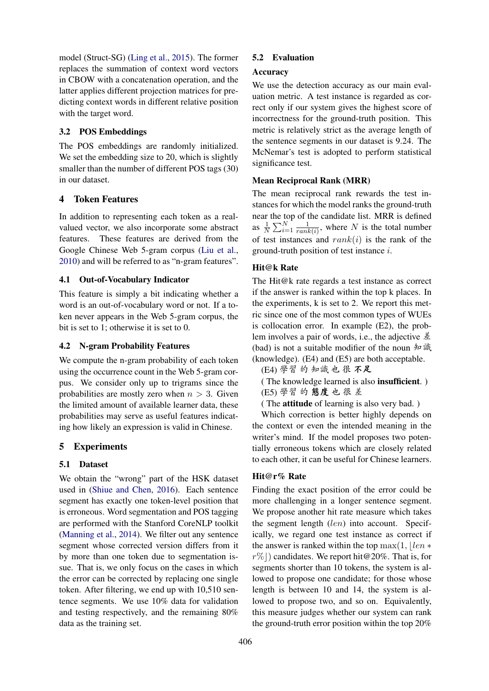model (Struct-SG) (Ling et al., 2015). The former replaces the summation of context word vectors in CBOW with a concatenation operation, and the latter applies different projection matrices for predicting context words in different relative position with the target word.

# 3.2 POS Embeddings

The POS embeddings are randomly initialized. We set the embedding size to 20, which is slightly smaller than the number of different POS tags (30) in our dataset.

# 4 Token Features

In addition to representing each token as a realvalued vector, we also incorporate some abstract features. These features are derived from the Google Chinese Web 5-gram corpus (Liu et al., 2010) and will be referred to as "n-gram features".

#### 4.1 Out-of-Vocabulary Indicator

This feature is simply a bit indicating whether a word is an out-of-vocabulary word or not. If a token never appears in the Web 5-gram corpus, the bit is set to 1; otherwise it is set to 0.

## 4.2 N-gram Probability Features

We compute the n-gram probability of each token using the occurrence count in the Web 5-gram corpus. We consider only up to trigrams since the probabilities are mostly zero when  $n > 3$ . Given the limited amount of available learner data, these probabilities may serve as useful features indicating how likely an expression is valid in Chinese.

#### 5 Experiments

#### 5.1 Dataset

We obtain the "wrong" part of the HSK dataset used in (Shiue and Chen, 2016). Each sentence segment has exactly one token-level position that is erroneous. Word segmentation and POS tagging are performed with the Stanford CoreNLP toolkit (Manning et al., 2014). We filter out any sentence segment whose corrected version differs from it by more than one token due to segmentation issue. That is, we only focus on the cases in which the error can be corrected by replacing one single token. After filtering, we end up with 10,510 sentence segments. We use 10% data for validation and testing respectively, and the remaining 80% data as the training set.

#### 5.2 Evaluation

#### Accuracy

We use the detection accuracy as our main evaluation metric. A test instance is regarded as correct only if our system gives the highest score of incorrectness for the ground-truth position. This metric is relatively strict as the average length of the sentence segments in our dataset is 9.24. The McNemar's test is adopted to perform statistical significance test.

#### Mean Reciprocal Rank (MRR)

The mean reciprocal rank rewards the test instances for which the model ranks the ground-truth near the top of the candidate list. MRR is defined as  $\frac{1}{N} \sum_{i=1}^{N} \frac{1}{\text{rank}}$  $\frac{1}{rank(i)}$ , where N is the total number of test instances and  $rank(i)$  is the rank of the ground-truth position of test instance i.

# Hit@k Rate

The Hit@k rate regards a test instance as correct if the answer is ranked within the top k places. In the experiments, k is set to 2. We report this metric since one of the most common types of WUEs is collocation error. In example (E2), the problem involves a pair of words, i.e., the adjective 差 (bad) is not a suitable modifier of the noun 知識 (knowledge). (E4) and (E5) are both acceptable.

(E4) 學習 的 知識 也 很 不足

- ( The knowledge learned is also insufficient. )
- (E5) 學習 的 態度 也 很 差
- ( The attitude of learning is also very bad. )

Which correction is better highly depends on the context or even the intended meaning in the writer's mind. If the model proposes two potentially erroneous tokens which are closely related to each other, it can be useful for Chinese learners.

#### Hit@r% Rate

Finding the exact position of the error could be more challenging in a longer sentence segment. We propose another hit rate measure which takes the segment length (len) into account. Specifically, we regard one test instance as correct if the answer is ranked within the top max $(1, \ell e n \ast$  $r\%$ ) candidates. We report hit @20%. That is, for segments shorter than 10 tokens, the system is allowed to propose one candidate; for those whose length is between 10 and 14, the system is allowed to propose two, and so on. Equivalently, this measure judges whether our system can rank the ground-truth error position within the top 20%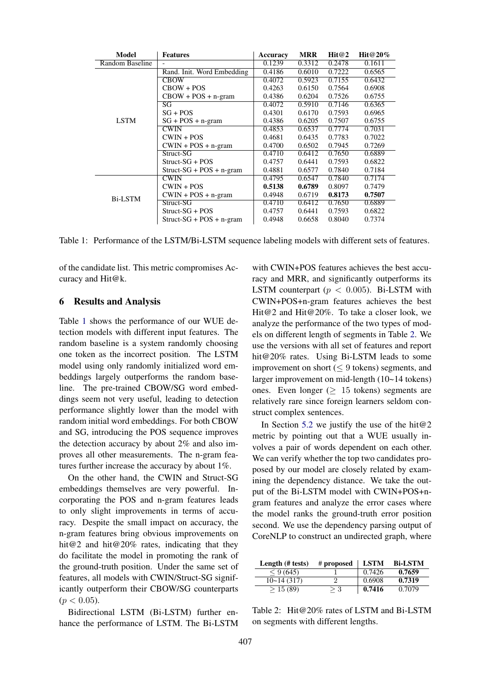| Model           | <b>Features</b>            | Accuracy | <b>MRR</b> | Hit@2  | Hit@20% |
|-----------------|----------------------------|----------|------------|--------|---------|
| Random Baseline |                            | 0.1239   | 0.3312     | 0.2478 | 0.1611  |
|                 | Rand. Init. Word Embedding | 0.4186   | 0.6010     | 0.7222 | 0.6565  |
|                 | <b>CBOW</b>                | 0.4072   | 0.5923     | 0.7155 | 0.6432  |
|                 | $CBOW + POS$               | 0.4263   | 0.6150     | 0.7564 | 0.6908  |
|                 | $CBOW + POS + n-gram$      | 0.4386   | 0.6204     | 0.7526 | 0.6755  |
|                 | SG                         | 0.4072   | 0.5910     | 0.7146 | 0.6365  |
| <b>LSTM</b>     | $SG + POS$                 | 0.4301   | 0.6170     | 0.7593 | 0.6965  |
|                 | $SG + POS + n-gram$        | 0.4386   | 0.6205     | 0.7507 | 0.6755  |
|                 | <b>CWIN</b>                | 0.4853   | 0.6537     | 0.7774 | 0.7031  |
|                 | $CWIN + POS$               | 0.4681   | 0.6435     | 0.7783 | 0.7022  |
|                 | $CWIN + POS + n-gram$      | 0.4700   | 0.6502     | 0.7945 | 0.7269  |
|                 | Struct-SG                  | 0.4710   | 0.6412     | 0.7650 | 0.6889  |
|                 | $Struct-SG + POS$          | 0.4757   | 0.6441     | 0.7593 | 0.6822  |
|                 | $Struct-SG + POS + n-gram$ | 0.4881   | 0.6577     | 0.7840 | 0.7184  |
| <b>Bi-LSTM</b>  | <b>CWIN</b>                | 0.4795   | 0.6547     | 0.7840 | 0.7174  |
|                 | $CWIN + POS$               | 0.5138   | 0.6789     | 0.8097 | 0.7479  |
|                 | $CWIN + POS + n-gram$      | 0.4948   | 0.6719     | 0.8173 | 0.7507  |
|                 | Struct-SG                  | 0.4710   | 0.6412     | 0.7650 | 0.6889  |
|                 | $Struct-SG + POS$          | 0.4757   | 0.6441     | 0.7593 | 0.6822  |
|                 | $Struct-SG + POS + n-gram$ | 0.4948   | 0.6658     | 0.8040 | 0.7374  |

Table 1: Performance of the LSTM/Bi-LSTM sequence labeling models with different sets of features.

of the candidate list. This metric compromises Accuracy and Hit@k.

#### 6 Results and Analysis

Table 1 shows the performance of our WUE detection models with different input features. The random baseline is a system randomly choosing one token as the incorrect position. The LSTM model using only randomly initialized word embeddings largely outperforms the random baseline. The pre-trained CBOW/SG word embeddings seem not very useful, leading to detection performance slightly lower than the model with random initial word embeddings. For both CBOW and SG, introducing the POS sequence improves the detection accuracy by about 2% and also improves all other measurements. The n-gram features further increase the accuracy by about 1%.

On the other hand, the CWIN and Struct-SG embeddings themselves are very powerful. Incorporating the POS and n-gram features leads to only slight improvements in terms of accuracy. Despite the small impact on accuracy, the n-gram features bring obvious improvements on hit@2 and hit@20% rates, indicating that they do facilitate the model in promoting the rank of the ground-truth position. Under the same set of features, all models with CWIN/Struct-SG significantly outperform their CBOW/SG counterparts  $(p < 0.05)$ .

Bidirectional LSTM (Bi-LSTM) further enhance the performance of LSTM. The Bi-LSTM

with CWIN+POS features achieves the best accuracy and MRR, and significantly outperforms its LSTM counterpart ( $p < 0.005$ ). Bi-LSTM with CWIN+POS+n-gram features achieves the best Hit@2 and Hit@20%. To take a closer look, we analyze the performance of the two types of models on different length of segments in Table 2. We use the versions with all set of features and report hit@20% rates. Using Bi-LSTM leads to some improvement on short ( $\leq$  9 tokens) segments, and larger improvement on mid-length (10~14 tokens) ones. Even longer ( $\geq 15$  tokens) segments are relatively rare since foreign learners seldom construct complex sentences.

In Section 5.2 we justify the use of the hit $@2$ metric by pointing out that a WUE usually involves a pair of words dependent on each other. We can verify whether the top two candidates proposed by our model are closely related by examining the dependency distance. We take the output of the Bi-LSTM model with CWIN+POS+ngram features and analyze the error cases where the model ranks the ground-truth error position second. We use the dependency parsing output of CoreNLP to construct an undirected graph, where

| Length (# tests) | # proposed | <b>LSTM</b> | <b>Bi-LSTM</b> |
|------------------|------------|-------------|----------------|
| < 9(645)         |            | 0.7426      | 0.7659         |
| 10~14(317)       |            | 0.6908      | 0.7319         |
| > 15(89)         | > 3        | 0.7416      | 0.7079         |

Table 2: Hit@20% rates of LSTM and Bi-LSTM on segments with different lengths.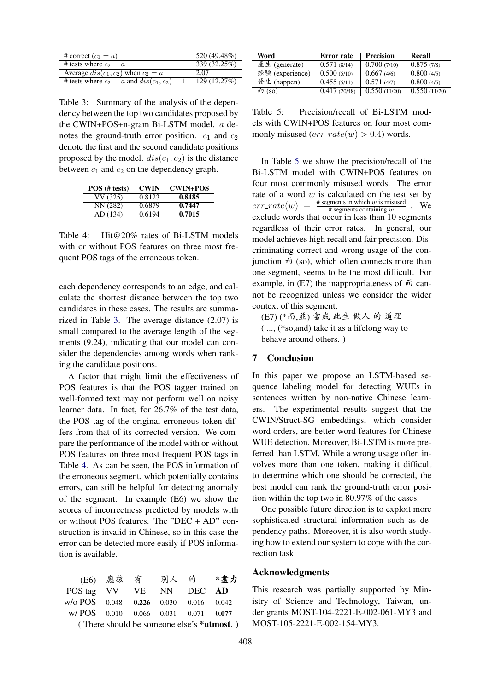| # correct $(c_1 = a)$                           | 520 (49.48%) |
|-------------------------------------------------|--------------|
| # tests where $c_2 = a$                         | 339 (32.25%) |
| Average $dis(c_1, c_2)$ when $c_2 = a$          | 2.07         |
| # tests where $c_2 = a$ and $dis(c_1, c_2) = 1$ | 129 (12.27%) |

Table 3: Summary of the analysis of the dependency between the top two candidates proposed by the CWIN+POS+n-gram Bi-LSTM model. a denotes the ground-truth error position.  $c_1$  and  $c_2$ denote the first and the second candidate positions proposed by the model.  $dis(c_1, c_2)$  is the distance between  $c_1$  and  $c_2$  on the dependency graph.

| POS (# tests) | <b>CWIN</b> | <b>CWIN+POS</b> |
|---------------|-------------|-----------------|
| VV (325)      | 0.8123      | 0.8185          |
| NN (282)      | 0.6879      | 0.7447          |
| AD (134)      | 0.6194      | 0.7015          |

Table 4: Hit@20% rates of Bi-LSTM models with or without POS features on three most frequent POS tags of the erroneous token.

each dependency corresponds to an edge, and calculate the shortest distance between the top two candidates in these cases. The results are summarized in Table 3. The average distance (2.07) is small compared to the average length of the segments (9.24), indicating that our model can consider the dependencies among words when ranking the candidate positions.

A factor that might limit the effectiveness of POS features is that the POS tagger trained on well-formed text may not perform well on noisy learner data. In fact, for 26.7% of the test data, the POS tag of the original erroneous token differs from that of its corrected version. We compare the performance of the model with or without POS features on three most frequent POS tags in Table 4. As can be seen, the POS information of the erroneous segment, which potentially contains errors, can still be helpful for detecting anomaly of the segment. In example (E6) we show the scores of incorrectness predicted by models with or without POS features. The "DEC + AD" construction is invalid in Chinese, so in this case the error can be detected more easily if POS information is available.

|                                       |  | (E6) 應該 有 別人 的 *盡力                             |  |
|---------------------------------------|--|------------------------------------------------|--|
| POS tag VV VE NN DEC AD               |  |                                                |  |
| w/o POS 0.048 0.226 0.030 0.016 0.042 |  |                                                |  |
| w/POS 0.010 0.066 0.031 0.071 0.077   |  |                                                |  |
|                                       |  | (There should be someone else's $\ast$ utmost) |  |

( There should be someone else's \*utmost. )

| Word            | Error rate   | <b>Precision</b> | <b>Recall</b> |
|-----------------|--------------|------------------|---------------|
| 產生 (generate)   | 0.571(8/14)  | 0.700(7/10)      | 0.875(7/8)    |
| 經驗 (experience) | 0.500(5/10)  | 0.667(4/6)       | 0.800(4/5)    |
| 發生 (happen)     | 0.455(5/11)  | 0.571(4/7)       | 0.800(4/5)    |
| 而 $(so)$        | 0.417(20/48) | 0.550(11/20)     | 0.550(11/20)  |

Table 5: Precision/recall of Bi-LSTM models with CWIN+POS features on four most commonly misused  $(err\_rate(w) > 0.4)$  words.

In Table 5 we show the precision/recall of the Bi-LSTM model with CWIN+POS features on four most commonly misused words. The error rate of a word  $w$  is calculated on the test set by  $err\_rate(w) = \frac{\text{\# segments in which } w \text{ is misused}}{\text{\# segments containing } w}$ . We exclude words that occur in less than 10 segments regardless of their error rates. In general, our model achieves high recall and fair precision. Discriminating correct and wrong usage of the conjunction  $\bar{m}$  (so), which often connects more than one segment, seems to be the most difficult. For example, in  $(E7)$  the inappropriateness of  $\overline{m}$  cannot be recognized unless we consider the wider context of this segment.

(E7) (\*而,並) 當成 此生 做人 的 道理 ( ..., (\*so,and) take it as a lifelong way to behave around others. )

#### 7 Conclusion

In this paper we propose an LSTM-based sequence labeling model for detecting WUEs in sentences written by non-native Chinese learners. The experimental results suggest that the CWIN/Struct-SG embeddings, which consider word orders, are better word features for Chinese WUE detection. Moreover, Bi-LSTM is more preferred than LSTM. While a wrong usage often involves more than one token, making it difficult to determine which one should be corrected, the best model can rank the ground-truth error position within the top two in 80.97% of the cases.

One possible future direction is to exploit more sophisticated structural information such as dependency paths. Moreover, it is also worth studying how to extend our system to cope with the correction task.

#### Acknowledgments

This research was partially supported by Ministry of Science and Technology, Taiwan, under grants MOST-104-2221-E-002-061-MY3 and MOST-105-2221-E-002-154-MY3.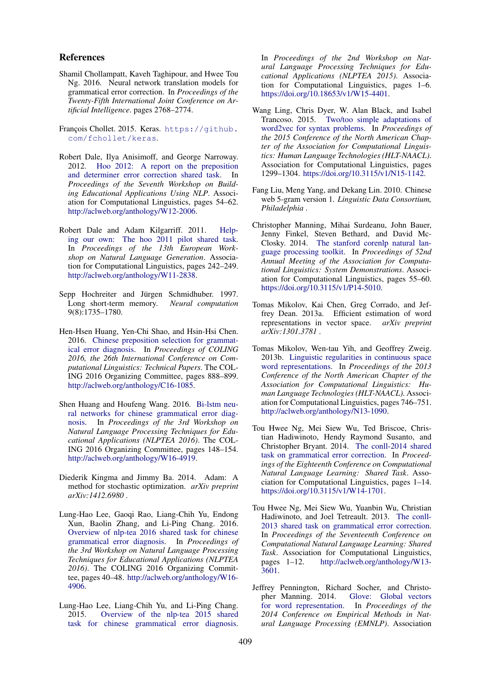#### References

Shamil Chollampatt, Kaveh Taghipour, and Hwee Tou Ng. 2016. Neural network translation models for grammatical error correction. In *Proceedings of the Twenty-Fifth International Joint Conference on Artificial Intelligence*. pages 2768–2774.

François Chollet. 2015. Keras. https://github. com/fchollet/keras.

- Robert Dale, Ilya Anisimoff, and George Narroway. 2012. Hoo 2012: A report on the preposition and determiner error correction shared task. In *Proceedings of the Seventh Workshop on Building Educational Applications Using NLP*. Association for Computational Linguistics, pages 54–62. http://aclweb.org/anthology/W12-2006.
- Robert Dale and Adam Kilgarriff. 2011. Helping our own: The hoo 2011 pilot shared task. In *Proceedings of the 13th European Workshop on Natural Language Generation*. Association for Computational Linguistics, pages 242–249. http://aclweb.org/anthology/W11-2838.
- Sepp Hochreiter and Jürgen Schmidhuber. 1997. Long short-term memory. *Neural computation* 9(8):1735–1780.
- Hen-Hsen Huang, Yen-Chi Shao, and Hsin-Hsi Chen. 2016. Chinese preposition selection for grammatical error diagnosis. In *Proceedings of COLING 2016, the 26th International Conference on Computational Linguistics: Technical Papers*. The COL-ING 2016 Organizing Committee, pages 888–899. http://aclweb.org/anthology/C16-1085.
- Shen Huang and Houfeng Wang. 2016. Bi-lstm neural networks for chinese grammatical error diagnosis. In *Proceedings of the 3rd Workshop on Natural Language Processing Techniques for Educational Applications (NLPTEA 2016)*. The COL-ING 2016 Organizing Committee, pages 148–154. http://aclweb.org/anthology/W16-4919.
- Diederik Kingma and Jimmy Ba. 2014. Adam: A method for stochastic optimization. *arXiv preprint arXiv:1412.6980* .
- Lung-Hao Lee, Gaoqi Rao, Liang-Chih Yu, Endong Xun, Baolin Zhang, and Li-Ping Chang. 2016. Overview of nlp-tea 2016 shared task for chinese grammatical error diagnosis. In *Proceedings of the 3rd Workshop on Natural Language Processing Techniques for Educational Applications (NLPTEA 2016)*. The COLING 2016 Organizing Committee, pages 40–48. http://aclweb.org/anthology/W16- 4906.
- Lung-Hao Lee, Liang-Chih Yu, and Li-Ping Chang. 2015. Overview of the nlp-tea 2015 shared task for chinese grammatical error diagnosis.

In *Proceedings of the 2nd Workshop on Natural Language Processing Techniques for Educational Applications (NLPTEA 2015)*. Association for Computational Linguistics, pages 1–6. https://doi.org/10.18653/v1/W15-4401.

- Wang Ling, Chris Dyer, W. Alan Black, and Isabel Trancoso. 2015. Two/too simple adaptations of word2vec for syntax problems. In *Proceedings of the 2015 Conference of the North American Chapter of the Association for Computational Linguistics: Human Language Technologies (HLT-NAACL)*. Association for Computational Linguistics, pages 1299–1304. https://doi.org/10.3115/v1/N15-1142.
- Fang Liu, Meng Yang, and Dekang Lin. 2010. Chinese web 5-gram version 1. *Linguistic Data Consortium, Philadelphia* .
- Christopher Manning, Mihai Surdeanu, John Bauer, Jenny Finkel, Steven Bethard, and David Mc-Closky. 2014. The stanford corenlp natural language processing toolkit. In *Proceedings of 52nd Annual Meeting of the Association for Computational Linguistics: System Demonstrations*. Association for Computational Linguistics, pages 55–60. https://doi.org/10.3115/v1/P14-5010.
- Tomas Mikolov, Kai Chen, Greg Corrado, and Jeffrey Dean. 2013a. Efficient estimation of word representations in vector space. *arXiv preprint arXiv:1301.3781* .
- Tomas Mikolov, Wen-tau Yih, and Geoffrey Zweig. 2013b. Linguistic regularities in continuous space word representations. In *Proceedings of the 2013 Conference of the North American Chapter of the Association for Computational Linguistics: Human Language Technologies (HLT-NAACL)*. Association for Computational Linguistics, pages 746–751. http://aclweb.org/anthology/N13-1090.
- Tou Hwee Ng, Mei Siew Wu, Ted Briscoe, Christian Hadiwinoto, Hendy Raymond Susanto, and Christopher Bryant. 2014. The conll-2014 shared task on grammatical error correction. In *Proceedings of the Eighteenth Conference on Computational Natural Language Learning: Shared Task*. Association for Computational Linguistics, pages 1–14. https://doi.org/10.3115/v1/W14-1701.
- Tou Hwee Ng, Mei Siew Wu, Yuanbin Wu, Christian Hadiwinoto, and Joel Tetreault. 2013. The conll-2013 shared task on grammatical error correction. In *Proceedings of the Seventeenth Conference on Computational Natural Language Learning: Shared Task*. Association for Computational Linguistics, pages 1–12. http://aclweb.org/anthology/W13- 3601.
- Jeffrey Pennington, Richard Socher, and Christopher Manning. 2014. Glove: Global vectors for word representation. In *Proceedings of the 2014 Conference on Empirical Methods in Natural Language Processing (EMNLP)*. Association